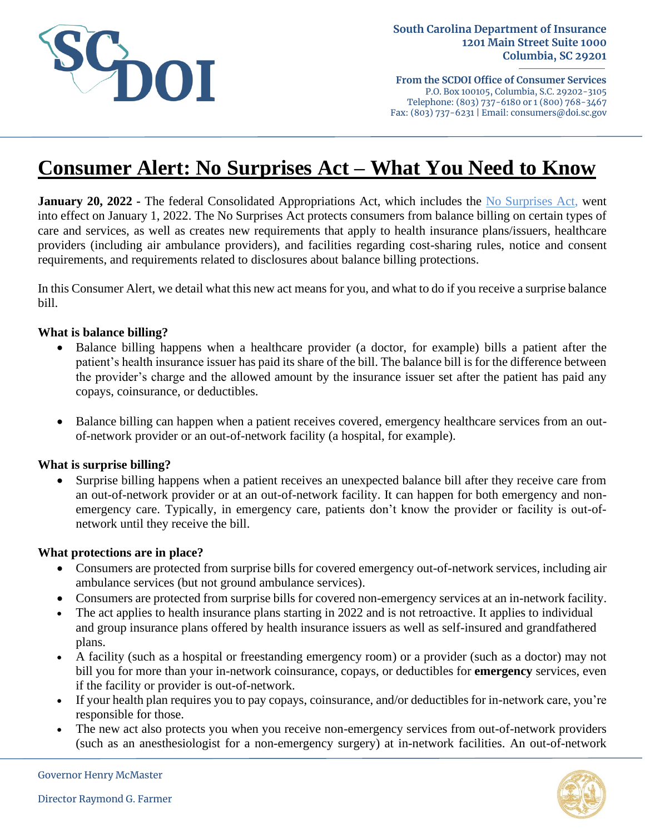

**From the SCDOI Office of Consumer Services** P.O. Box 100105, Columbia, S.C. 29202-3105 Telephone: (803) 737-6180 or 1 (800) 768-3467 Fax: (803) 737-6231 | Email: consumers@doi.sc.gov

# **Consumer Alert: No Surprises Act – What You Need to Know**

**January 20, 2022 -** The federal Consolidated Appropriations Act, which includes the [No Surprises Act,](https://www.cms.gov/nosurprises/consumers) went into effect on January 1, 2022. The No Surprises Act protects consumers from balance billing on certain types of care and services, as well as creates new requirements that apply to health insurance plans/issuers, healthcare providers (including air ambulance providers), and facilities regarding cost-sharing rules, notice and consent requirements, and requirements related to disclosures about balance billing protections.

In this Consumer Alert, we detail what this new act means for you, and what to do if you receive a surprise balance bill.

## **What is balance billing?**

- Balance billing happens when a healthcare provider (a doctor, for example) bills a patient after the patient's health insurance issuer has paid its share of the bill. The balance bill is for the difference between the provider's charge and the allowed amount by the insurance issuer set after the patient has paid any copays, coinsurance, or deductibles.
- Balance billing can happen when a patient receives covered, emergency healthcare services from an outof-network provider or an out-of-network facility (a hospital, for example).

#### **What is surprise billing?**

Surprise billing happens when a patient receives an unexpected balance bill after they receive care from an out-of-network provider or at an out-of-network facility. It can happen for both emergency and nonemergency care. Typically, in emergency care, patients don't know the provider or facility is out-ofnetwork until they receive the bill.

#### **What protections are in place?**

- Consumers are protected from surprise bills for covered emergency out-of-network services, including air ambulance services (but not ground ambulance services).
- Consumers are protected from surprise bills for covered non-emergency services at an in-network facility.
- The act applies to health insurance plans starting in 2022 and is not retroactive. It applies to individual and group insurance plans offered by health insurance issuers as well as self-insured and grandfathered plans.
- A facility (such as a hospital or freestanding emergency room) or a provider (such as a doctor) may not bill you for more than your in-network coinsurance, copays, or deductibles for **emergency** services, even if the facility or provider is out-of-network.
- If your health plan requires you to pay copays, coinsurance, and/or deductibles for in-network care, you're responsible for those.
- The new act also protects you when you receive non-emergency services from out-of-network providers (such as an anesthesiologist for a non-emergency surgery) at in-network facilities. An out-of-network